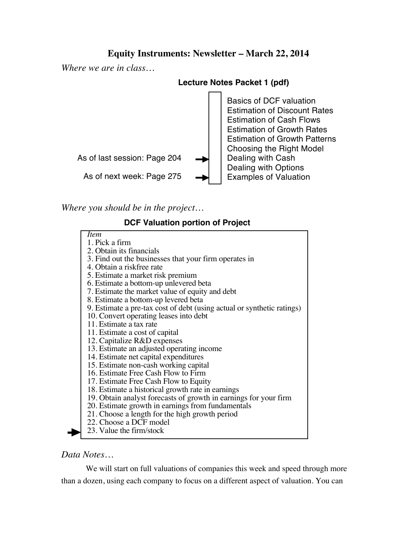# **Equity Instruments: Newsletter – March 22, 2014**

*Where we are in class…*

### **Lecture Notes Packet 1 (pdf)**



*Where you should be in the project…*

### **DCF Valuation portion of Project**

| <i>Item</i>                                                            |
|------------------------------------------------------------------------|
| 1. Pick a firm                                                         |
| 2. Obtain its financials                                               |
| 3. Find out the businesses that your firm operates in                  |
| 4. Obtain a riskfree rate                                              |
| 5. Estimate a market risk premium                                      |
| 6. Estimate a bottom-up unlevered beta                                 |
| 7. Estimate the market value of equity and debt                        |
| 8. Estimate a bottom-up levered beta                                   |
| 9. Estimate a pre-tax cost of debt (using actual or synthetic ratings) |
| 10. Convert operating leases into debt                                 |
| 11. Estimate a tax rate                                                |
| 11. Estimate a cost of capital                                         |
| 12. Capitalize R&D expenses                                            |
| 13. Estimate an adjusted operating income                              |
| 14. Estimate net capital expenditures                                  |
| 15. Estimate non-cash working capital                                  |
| 16. Estimate Free Cash Flow to Firm                                    |
| 17. Estimate Free Cash Flow to Equity                                  |
| 18. Estimate a historical growth rate in earnings                      |
| 19. Obtain analyst forecasts of growth in earnings for your firm       |
| 20. Estimate growth in earnings from fundamentals                      |
| 21. Choose a length for the high growth period                         |
| 22. Choose a DCF model                                                 |
| 23. Value the firm/stock                                               |
|                                                                        |

*Data Notes…*

We will start on full valuations of companies this week and speed through more than a dozen, using each company to focus on a different aspect of valuation. You can